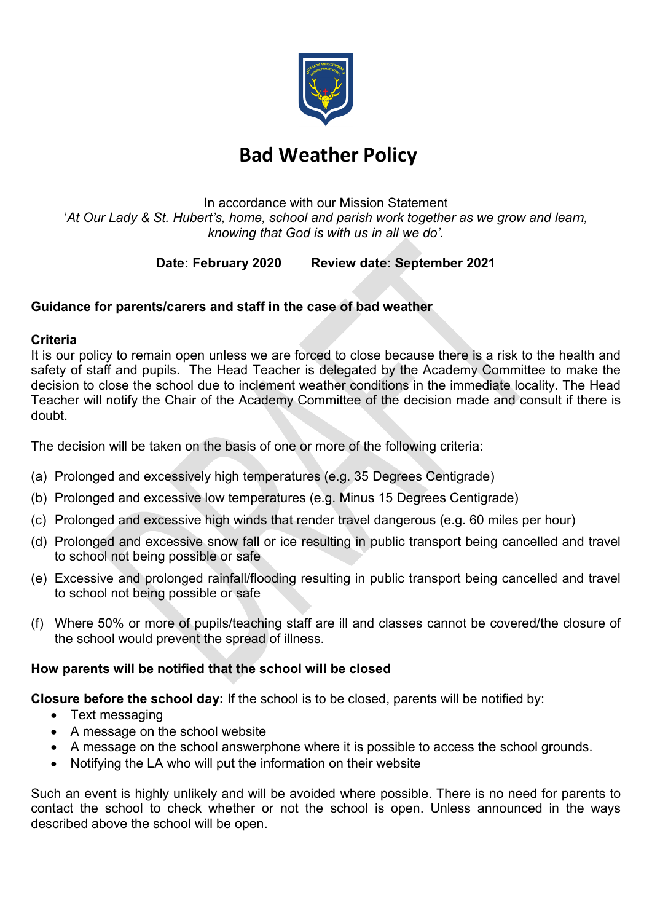

# Bad Weather Policy

In accordance with our Mission Statement 'At Our Lady & St. Hubert's, home, school and parish work together as we grow and learn, knowing that God is with us in all we do'.

## Date: February 2020 Review date: September 2021

## Guidance for parents/carers and staff in the case of bad weather

#### **Criteria**

It is our policy to remain open unless we are forced to close because there is a risk to the health and safety of staff and pupils. The Head Teacher is delegated by the Academy Committee to make the decision to close the school due to inclement weather conditions in the immediate locality. The Head Teacher will notify the Chair of the Academy Committee of the decision made and consult if there is doubt.

The decision will be taken on the basis of one or more of the following criteria:

- (a) Prolonged and excessively high temperatures (e.g. 35 Degrees Centigrade)
- (b) Prolonged and excessive low temperatures (e.g. Minus 15 Degrees Centigrade)
- (c) Prolonged and excessive high winds that render travel dangerous (e.g. 60 miles per hour)
- (d) Prolonged and excessive snow fall or ice resulting in public transport being cancelled and travel to school not being possible or safe
- (e) Excessive and prolonged rainfall/flooding resulting in public transport being cancelled and travel to school not being possible or safe
- (f) Where 50% or more of pupils/teaching staff are ill and classes cannot be covered/the closure of the school would prevent the spread of illness.

#### How parents will be notified that the school will be closed

Closure before the school day: If the school is to be closed, parents will be notified by:

- Text messaging
- A message on the school website
- A message on the school answerphone where it is possible to access the school grounds.
- Notifying the LA who will put the information on their website

Such an event is highly unlikely and will be avoided where possible. There is no need for parents to contact the school to check whether or not the school is open. Unless announced in the ways described above the school will be open.